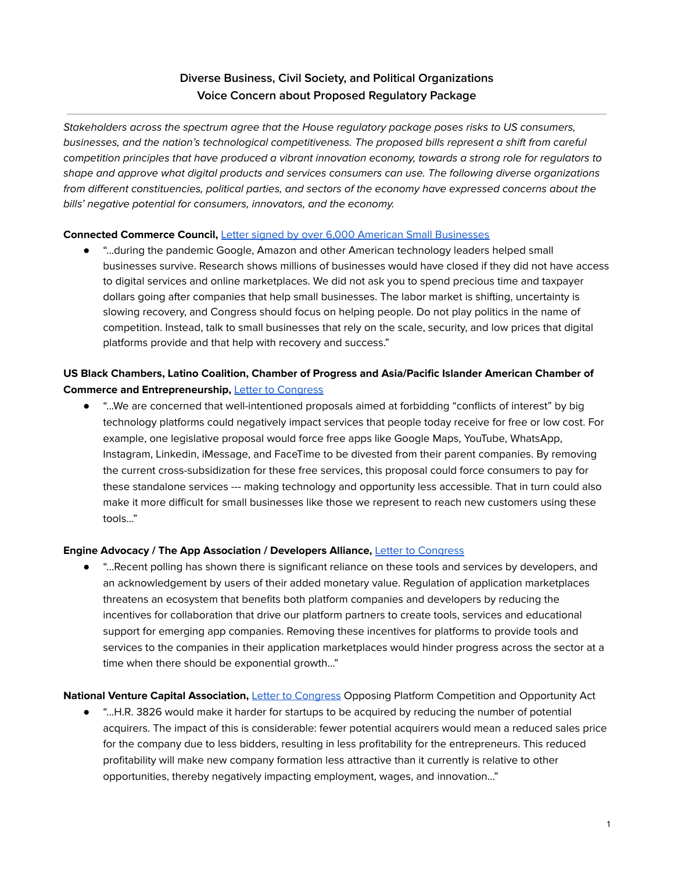# **Diverse Business, Civil Society, and Political Organizations Voice Concern about Proposed Regulatory Package**

Stakeholders across the spectrum agree that the House regulatory package poses risks to US consumers, businesses, and the nation's technological competitiveness. The proposed bills represent a shift from careful competition principles that have produced a vibrant innovation economy, towards a strong role for regulators to shape and approve what digital products and services consumers can use. The following diverse organizations from different constituencies, political parties, and sectors of the economy have expressed concerns about the bills' negative potential for consumers, innovators, and the economy.

#### **Connected Commerce Council,** Letter signed by over 6,000 American Small [Businesses](https://connectedcouncil.org/actions/millions-of-small-businesses-are-at-risk/)

● "...during the pandemic Google, Amazon and other American technology leaders helped small businesses survive. Research shows millions of businesses would have closed if they did not have access to digital services and online marketplaces. We did not ask you to spend precious time and taxpayer dollars going after companies that help small businesses. The labor market is shifting, uncertainty is slowing recovery, and Congress should focus on helping people. Do not play politics in the name of competition. Instead, talk to small businesses that rely on the scale, security, and low prices that digital platforms provide and that help with recovery and success."

## **US Black Chambers, Latino Coalition, Chamber of Progress and Asia/Pacific Islander American Chamber of Commerce and Entrepreneurship,** Letter to [Congress](http://progresschamber.org/wp-content/uploads/2021/06/Chambers-Letter-Opportunity.pdf)

"...We are concerned that well-intentioned proposals aimed at forbidding "conflicts of interest" by big technology platforms could negatively impact services that people today receive for free or low cost. For example, one legislative proposal would force free apps like Google Maps, YouTube, WhatsApp, Instagram, Linkedin, iMessage, and FaceTime to be divested from their parent companies. By removing the current cross-subsidization for these free services, this proposal could force consumers to pay for these standalone services --- making technology and opportunity less accessible. That in turn could also make it more difficult for small businesses like those we represent to reach new customers using these tools..."

## **Engine Advocacy / The App Association / Developers Alliance,** Letter to [Congress](https://static1.squarespace.com/static/53864718e4b07a1635424cdd/t/60d2427cebdb9b74d4c0beef/1624392316261/HJC+letter+from+ACT%2C+Developers+Alliance%2C+Engine+6.22.pdf)

● "...Recent polling has shown there is significant reliance on these tools and services by developers, and an acknowledgement by users of their added monetary value. Regulation of application marketplaces threatens an ecosystem that benefits both platform companies and developers by reducing the incentives for collaboration that drive our platform partners to create tools, services and educational support for emerging app companies. Removing these incentives for platforms to provide tools and services to the companies in their application marketplaces would hinder progress across the sector at a time when there should be exponential growth…"

## **National Venture Capital Association,** Letter to [Congress](https://nvca.org/wp-content/uploads/2021/06/NVCA-letter-of-opposition-Platform-Competition-and-Accountability-Act.pdf) Opposing Platform Competition and Opportunity Act

● "...H.R. 3826 would make it harder for startups to be acquired by reducing the number of potential acquirers. The impact of this is considerable: fewer potential acquirers would mean a reduced sales price for the company due to less bidders, resulting in less profitability for the entrepreneurs. This reduced profitability will make new company formation less attractive than it currently is relative to other opportunities, thereby negatively impacting employment, wages, and innovation..."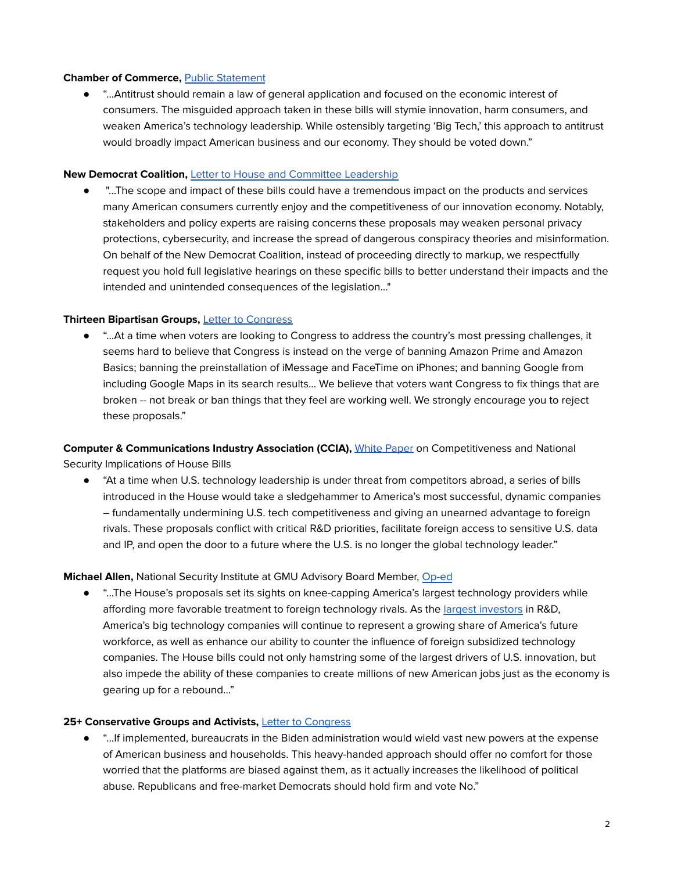#### **Chamber of Commerce, Public [Statement](https://www.uschamber.com/press-release/us-chamber-calls-legislators-vote-down-antitrust-bills-would-stymie-innovation-harm)**

● "...Antitrust should remain a law of general application and focused on the economic interest of consumers. The misguided approach taken in these bills will stymie innovation, harm consumers, and weaken America's technology leadership. While ostensibly targeting 'Big Tech,' this approach to antitrust would broadly impact American business and our economy. They should be voted down."

#### **New Democrat Coalition,** Letter to House and Committee [Leadership](https://newdemocratcoalition.house.gov/media-center/press-releases/new-democrat-coalition-leadership-members-urge-leadership-and-house-judiciary-to-hold-legislative-hearings-on-upcoming-antitrust-legislation)

● "...The scope and impact of these bills could have a tremendous impact on the products and services many American consumers currently enjoy and the competitiveness of our innovation economy. Notably, stakeholders and policy experts are raising concerns these proposals may weaken personal privacy protections, cybersecurity, and increase the spread of dangerous conspiracy theories and misinformation. On behalf of the New Democrat Coalition, instead of proceeding directly to markup, we respectfully request you hold full legislative hearings on these specific bills to better understand their impacts and the intended and unintended consequences of the legislation..."

#### **Thirteen Bipartisan Groups,** Letter to [Congress](http://progresschamber.org/wp-content/uploads/2021/06/HJC-Letter_-Reject-Cicilline-Jayapal-Bills.pdf)

● "...At a time when voters are looking to Congress to address the country's most pressing challenges, it seems hard to believe that Congress is instead on the verge of banning Amazon Prime and Amazon Basics; banning the preinstallation of iMessage and FaceTime on iPhones; and banning Google from including Google Maps in its search results… We believe that voters want Congress to fix things that are broken -- not break or ban things that they feel are working well. We strongly encourage you to reject these proposals."

**Computer & Communications Industry Association (CCIA),** White [Paper](https://www.ccianet.org/wp-content/uploads/2021/06/Competitiveness-NatSec-Implications-of-House-Bills.pdf) on Competitiveness and National Security Implications of House Bills

● "At a time when U.S. technology leadership is under threat from competitors abroad, a series of bills introduced in the House would take a sledgehammer to America's most successful, dynamic companies – fundamentally undermining U.S. tech competitiveness and giving an unearned advantage to foreign rivals. These proposals conflict with critical R&D priorities, facilitate foreign access to sensitive U.S. data and IP, and open the door to a future where the U.S. is no longer the global technology leader."

## **Michael Allen,** National Security Institute at GMU Advisory Board Member, [Op-ed](https://thescif.org/instead-of-harming-u-s-technology-lets-harness-it-to-take-on-china-55bd1192e3ee)

● "...The House's proposals set its sights on knee-capping America's largest technology providers while affording more favorable treatment to foreign technology rivals. As the largest [investors](https://secure-web.cisco.com/1yq6mAZkgX9Jk_Y2LK5G4MCLcdENKVFjXZPwJhK87CSemdoGXa3vmN1l5dyS_8Yc3rY57LF1IK6kALMWdbrN4kAFABpEQBJbv91F3cxuSjYZ4VZYAW-I2jMHGMZ6dYnJNgX5LO1194NODoHC8B8PGRthE_bHvvamr8LmLalecGXD7Lt8S7rstoKZ9SVdhJsR2K_CUaJRmm_HtXhOZ0dMxn9vUe73Hr_VvvJoi-N3opep9QrnlPkV2N7WSq_ezn8H1FPaHgPjh55RCu2q4AVaMiUE84OCqdqisW6ghrgAJDO5BobMbSub1pOWa14KU2ZHUxfVmAodAwDIzlc6RubbvJ1KCMM9BLxtGTy6aUwzUN9qcoHXpM9n7y5SjUAQJxUG6py_eOsUlJTxhcDSsXSBtXwWWiVJOCOZd35Qp2CpA9ql_TNBXptuk5ZmnBVOemKpwkODti98PC2JCG1uf8MAM4g/https%3A%2F%2Fwww.statista.com%2Fstatistics%2F265645%2Franking-of-the-20-companies-with-the-highest-spending-on-research-and-development%2F) in R&D, America's big technology companies will continue to represent a growing share of America's future workforce, as well as enhance our ability to counter the influence of foreign subsidized technology companies. The House bills could not only hamstring some of the largest drivers of U.S. innovation, but also impede the ability of these companies to create millions of new American jobs just as the economy is gearing up for a rebound..."

## **25+ Conservative Groups and Activists,** Letter to [Congress](https://cei.org/coalition_letters/25-conservative-groups-and-activists-urge-congress-to-reject-democrat-antitrust-power-grab/)

● "...If implemented, bureaucrats in the Biden administration would wield vast new powers at the expense of American business and households. This heavy-handed approach should offer no comfort for those worried that the platforms are biased against them, as it actually increases the likelihood of political abuse. Republicans and free-market Democrats should hold firm and vote No."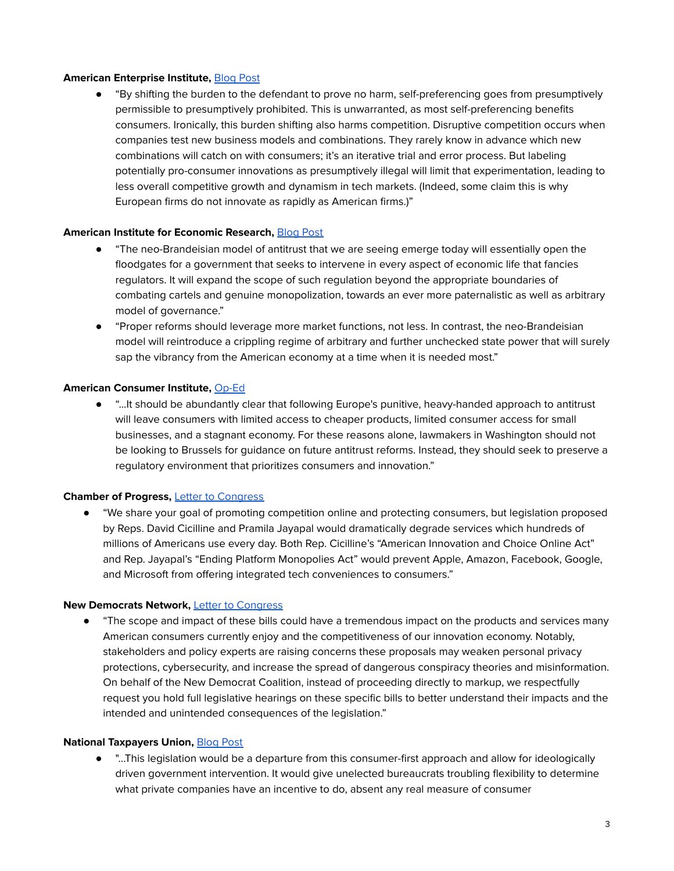#### **American Enterprise Institute,** [Blog](https://www.aei.org/technology-and-innovation/house-antitrust-bill-embraces-unjustified-presumption-against-vertical-integration/?mkt_tok=NDc1LVBCUS05NzEAAAF9zaGwaHbBuqpQhDmif0Z7yKmSd6RRBUaIEgUC64g6XYGGW2XXwN2lW9h80G0MJMym3JWyCvuq4TV6zu_q6AqibmZGZTgmtGAiy8mSBz_Uxf4n2w) Post

"By shifting the burden to the defendant to prove no harm, self-preferencing goes from presumptively permissible to presumptively prohibited. This is unwarranted, as most self-preferencing benefits consumers. Ironically, this burden shifting also harms competition. Disruptive competition occurs when companies test new business models and combinations. They rarely know in advance which new combinations will catch on with consumers; it's an iterative trial and error process. But labeling potentially pro-consumer innovations as presumptively illegal will limit that experimentation, leading to less overall competitive growth and dynamism in tech markets. (Indeed, some claim this is why European firms do not innovate as rapidly as American firms.)"

#### **American Institute for Economic Research,** [Blog](https://www.aier.org/article/which-antitrust-doctrine-deserves-your-trust/) Post

- "The neo-Brandeisian model of antitrust that we are seeing emerge today will essentially open the floodgates for a government that seeks to intervene in every aspect of economic life that fancies regulators. It will expand the scope of such regulation beyond the appropriate boundaries of combating cartels and genuine monopolization, towards an ever more paternalistic as well as arbitrary model of governance."
- "Proper reforms should leverage more market functions, not less. In contrast, the neo-Brandeisian model will reintroduce a crippling regime of arbitrary and further unchecked state power that will surely sap the vibrancy from the American economy at a time when it is needed most."

#### **American Consumer Institute,** [Op-Ed](https://www.realclearpolicy.com/articles/2021/06/17/washington_shouldnt_follow_europes_crackdown_on_big_tech_781714.html)

"...It should be abundantly clear that following Europe's punitive, heavy-handed approach to antitrust will leave consumers with limited access to cheaper products, limited consumer access for small businesses, and a stagnant economy. For these reasons alone, lawmakers in Washington should not be looking to Brussels for guidance on future antitrust reforms. Instead, they should seek to preserve a regulatory environment that prioritizes consumers and innovation."

#### **Chamber of Progress,** Letter to [Congress](http://progresschamber.org/wp-content/uploads/2021/06/HJC-Letter_-Reject-Cicilline-Jayapal-Bills.pdf)

● "We share your goal of promoting competition online and protecting consumers, but legislation proposed by Reps. David Cicilline and Pramila Jayapal would dramatically degrade services which hundreds of millions of Americans use every day. Both Rep. Cicilline's "American Innovation and Choice Online Act" and Rep. Jayapal's "Ending Platform Monopolies Act" would prevent Apple, Amazon, Facebook, Google, and Microsoft from offering integrated tech conveniences to consumers."

#### **New Democrats Network,** Letter to [Congress](https://newdemocratcoalition.house.gov/imo/media/doc/2021-06-18_NDC%20Leadership%20Letter%20Requesting%20Legislative%20Hearings%20on%20Antitrust%20Bills_vF.pdf)

● "The scope and impact of these bills could have a tremendous impact on the products and services many American consumers currently enjoy and the competitiveness of our innovation economy. Notably, stakeholders and policy experts are raising concerns these proposals may weaken personal privacy protections, cybersecurity, and increase the spread of dangerous conspiracy theories and misinformation. On behalf of the New Democrat Coalition, instead of proceeding directly to markup, we respectfully request you hold full legislative hearings on these specific bills to better understand their impacts and the intended and unintended consequences of the legislation."

## **National Taxpayers Union,** [Blog](https://www.ntu.org/publications/detail/house-democrats-take-aim-at-consumer-convenience-with-misguided-antitrust-proposal) Post

● "...This legislation would be a departure from this consumer-first approach and allow for ideologically driven government intervention. It would give unelected bureaucrats troubling flexibility to determine what private companies have an incentive to do, absent any real measure of consumer